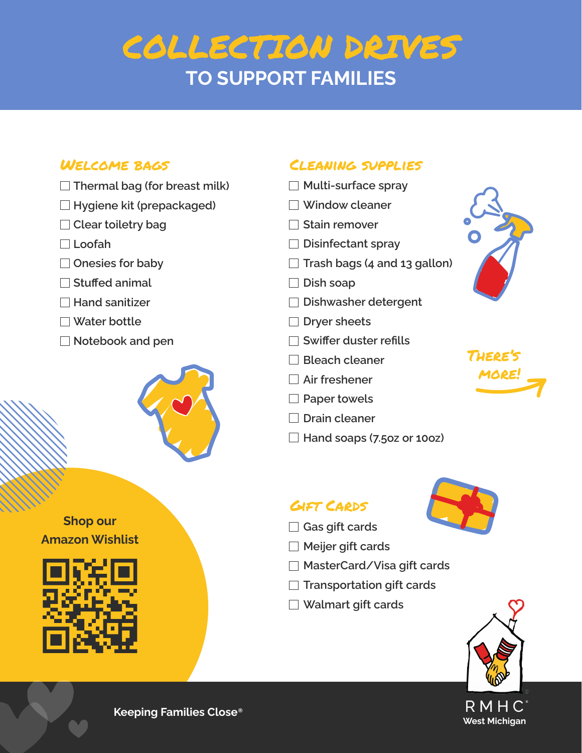# COLLECTION DRIVES **TO SUPPORT FAMILIES**

### Welcome bags

- **Thermal bag (for breast milk)**
- **Hygiene kit (prepackaged)**
- **Clear toiletry bag**
- **Loofah**
- **Onesies for baby**
- **Stuffed animal**
- **Hand sanitizer**
- **Water bottle**
- **Notebook and pen**



#### **Shop our Amazon Wishlist**



## Cleaning supplies

- **Multi-surface spray**
- **Window cleaner**
- **Stain remover**
- **Disinfectant spray**
- **Trash bags (4 and 13 gallon)**
- **Dish soap**
- **Dishwasher detergent**
- **Dryer sheets**
- **Swiffer duster refills**
- **Bleach cleaner**
- **Air freshener**
- **Paper towels**
- **Drain cleaner**
- **Hand soaps (7.5oz or 10oz)**

## Gift Cards



- **Gas gift cards**
- **Meijer gift cards**
- **MasterCard/Visa gift cards**
- **Transportation gift cards**
- **Walmart gift cards**



**Keeping Families Close® <sup>R</sup>**

There's more!